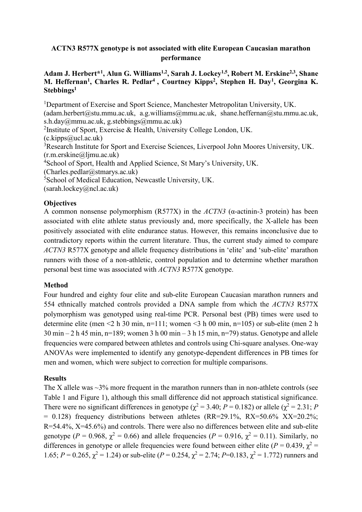### **ACTN3 R577X genotype is not associated with elite European Caucasian marathon performance**

### **Adam J. Herbert\* 1 , Alun G. Williams1,2 , Sarah J. Lockey1,5 , Robert M. Erskine2,3 , Shane M. Heffernan<sup>1</sup> , Charles R. Pedlar<sup>4</sup> , Courtney Kipps<sup>2</sup> , Stephen H. Day<sup>1</sup> , Georgina K. Stebbings<sup>1</sup>**

<sup>1</sup>Department of Exercise and Sport Science, Manchester Metropolitan University, UK.  $(adam.herbert@stu.mmu.ac.uk, a.g. williams@mmu.ac.uk, shane.heffernan@stu.mmu.ac.uk,$ s.h.day@mmu.ac.uk, g.stebbings@mmu.ac.uk)

<sup>2</sup>Institute of Sport, Exercise & Health, University College London, UK.

 $(c.kipps@ucl.ac.uk)$ 

<sup>3</sup>Research Institute for Sport and Exercise Sciences, Liverpool John Moores University, UK. (r.m.erskine@ljmu.ac.uk)

<sup>4</sup>School of Sport, Health and Applied Science, St Mary's University, UK.

 $(Charles.pedlar@straurus.ac.uk)$ 

<sup>5</sup>School of Medical Education, Newcastle University, UK.

(sarah.lockey@ncl.ac.uk)

# **Objectives**

A common nonsense polymorphism (R577X) in the *ACTN3* (α-actinin-3 protein) has been associated with elite athlete status previously and, more specifically, the X-allele has been positively associated with elite endurance status. However, this remains inconclusive due to contradictory reports within the current literature. Thus, the current study aimed to compare *ACTN3* R577X genotype and allele frequency distributions in 'elite' and 'sub-elite' marathon runners with those of a non-athletic, control population and to determine whether marathon personal best time was associated with *ACTN3* R577X genotype.

## **Method**

Four hundred and eighty four elite and sub-elite European Caucasian marathon runners and 554 ethnically matched controls provided a DNA sample from which the *ACTN3* R577X polymorphism was genotyped using real-time PCR. Personal best (PB) times were used to determine elite (men <2 h 30 min, n=111; women <3 h 00 min, n=105) or sub-elite (men 2 h  $30 \text{ min} - 2 \text{ h } 45 \text{ min}, \text{ n} = 189$ ; women 3 h 00 min – 3 h 15 min, n=79) status. Genotype and allele frequencies were compared between athletes and controls using Chi-square analyses. One-way ANOVAs were implemented to identify any genotype-dependent differences in PB times for men and women, which were subject to correction for multiple comparisons.

## **Results**

The X allele was  $\sim$ 3% more frequent in the marathon runners than in non-athlete controls (see Table 1 and Figure 1), although this small difference did not approach statistical significance. There were no significant differences in genotype ( $\chi^2 = 3.40$ ; *P* = 0.182) or allele ( $\chi^2 = 2.31$ ; *P*  $= 0.128$ ) frequency distributions between athletes (RR=29.1%, RX=50.6% XX=20.2%; R=54.4%, X=45.6%) and controls. There were also no differences between elite and sub-elite genotype ( $P = 0.968$ ,  $\gamma^2 = 0.66$ ) and allele frequencies ( $P = 0.916$ ,  $\chi^2 = 0.11$ ). Similarly, no differences in genotype or allele frequencies were found between either elite ( $P = 0.439$ ,  $\chi^2 =$ 1.65;  $P = 0.265$ ,  $\chi^2 = 1.24$ ) or sub-elite ( $P = 0.254$ ,  $\chi^2 = 2.74$ ;  $P = 0.183$ ,  $\chi^2 = 1.772$ ) runners and